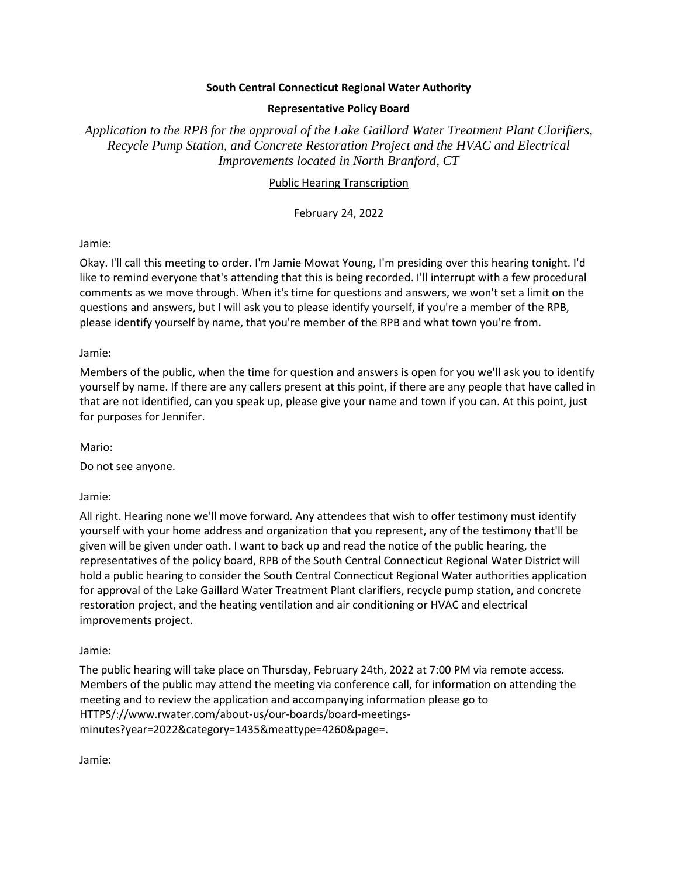#### **South Central Connecticut Regional Water Authority**

#### **Representative Policy Board**

*Application to the RPB for the approval of the Lake Gaillard Water Treatment Plant Clarifiers, Recycle Pump Station, and Concrete Restoration Project and the HVAC and Electrical Improvements located in North Branford, CT*

#### Public Hearing Transcription

February 24, 2022

Jamie:

Okay. I'll call this meeting to order. I'm Jamie Mowat Young, I'm presiding over this hearing tonight. I'd like to remind everyone that's attending that this is being recorded. I'll interrupt with a few procedural comments as we move through. When it's time for questions and answers, we won't set a limit on the questions and answers, but I will ask you to please identify yourself, if you're a member of the RPB, please identify yourself by name, that you're member of the RPB and what town you're from.

Jamie:

Members of the public, when the time for question and answers is open for you we'll ask you to identify yourself by name. If there are any callers present at this point, if there are any people that have called in that are not identified, can you speak up, please give your name and town if you can. At this point, just for purposes for Jennifer.

Mario:

Do not see anyone.

Jamie:

All right. Hearing none we'll move forward. Any attendees that wish to offer testimony must identify yourself with your home address and organization that you represent, any of the testimony that'll be given will be given under oath. I want to back up and read the notice of the public hearing, the representatives of the policy board, RPB of the South Central Connecticut Regional Water District will hold a public hearing to consider the South Central Connecticut Regional Water authorities application for approval of the Lake Gaillard Water Treatment Plant clarifiers, recycle pump station, and concrete restoration project, and the heating ventilation and air conditioning or HVAC and electrical improvements project.

Jamie:

The public hearing will take place on Thursday, February 24th, 2022 at 7:00 PM via remote access. Members of the public may attend the meeting via conference call, for information on attending the meeting and to review the application and accompanying information please go to HTTPS/://www.rwater.com/about-us/our-boards/board-meetingsminutes?year=2022&category=1435&meattype=4260&page=.

Jamie: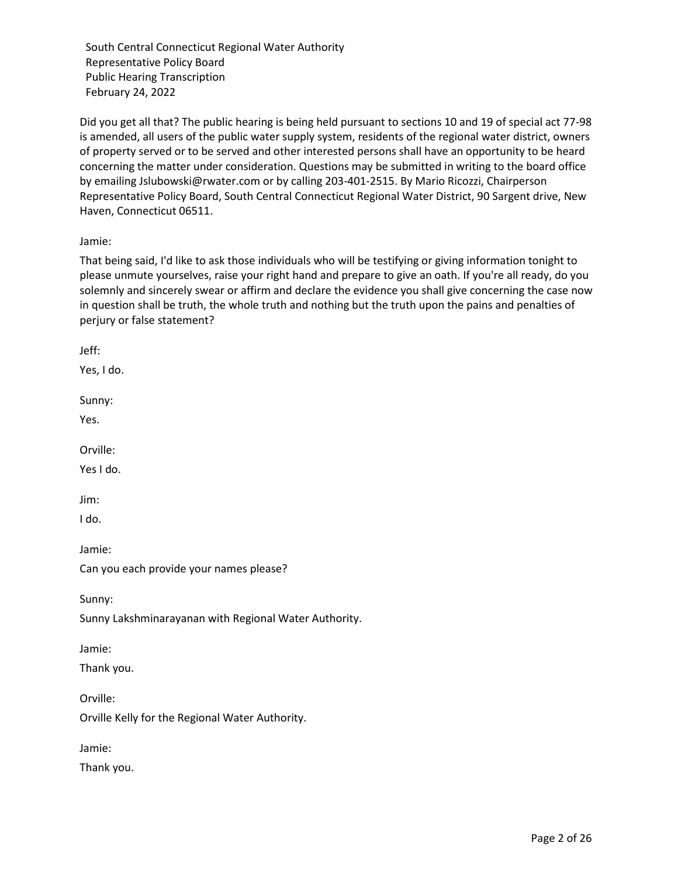Did you get all that? The public hearing is being held pursuant to sections 10 and 19 of special act 77-98 is amended, all users of the public water supply system, residents of the regional water district, owners of property served or to be served and other interested persons shall have an opportunity to be heard concerning the matter under consideration. Questions may be submitted in writing to the board office by emailing Jslubowski@rwater.com or by calling 203-401-2515. By Mario Ricozzi, Chairperson Representative Policy Board, South Central Connecticut Regional Water District, 90 Sargent drive, New Haven, Connecticut 06511.

# Jamie:

That being said, I'd like to ask those individuals who will be testifying or giving information tonight to please unmute yourselves, raise your right hand and prepare to give an oath. If you're all ready, do you solemnly and sincerely swear or affirm and declare the evidence you shall give concerning the case now in question shall be truth, the whole truth and nothing but the truth upon the pains and penalties of perjury or false statement?

Jeff:

Yes, I do.

Sunny:

Yes.

Orville:

Yes I do.

Jim:

I do.

Jamie:

Can you each provide your names please?

Sunny:

Sunny Lakshminarayanan with Regional Water Authority.

Jamie:

Thank you.

Orville:

Orville Kelly for the Regional Water Authority.

Jamie:

Thank you.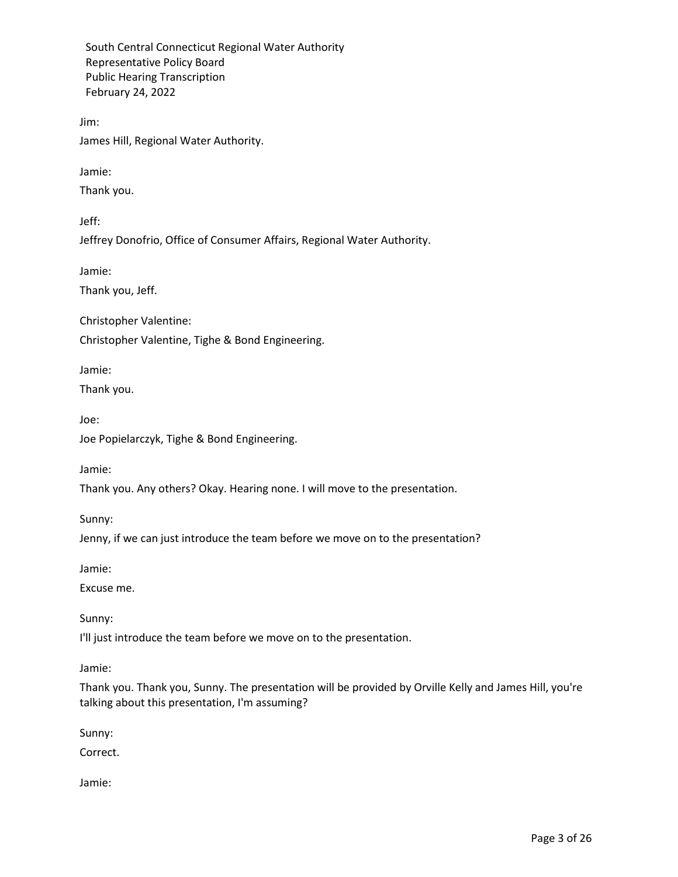Jim:

James Hill, Regional Water Authority.

Jamie:

Thank you.

Jeff:

Jeffrey Donofrio, Office of Consumer Affairs, Regional Water Authority.

Jamie:

Thank you, Jeff.

Christopher Valentine:

Christopher Valentine, Tighe & Bond Engineering.

Jamie:

Thank you.

Joe:

Joe Popielarczyk, Tighe & Bond Engineering.

Jamie:

Thank you. Any others? Okay. Hearing none. I will move to the presentation.

Sunny:

Jenny, if we can just introduce the team before we move on to the presentation?

Jamie:

Excuse me.

Sunny:

I'll just introduce the team before we move on to the presentation.

Jamie:

Thank you. Thank you, Sunny. The presentation will be provided by Orville Kelly and James Hill, you're talking about this presentation, I'm assuming?

Sunny:

Correct.

Jamie: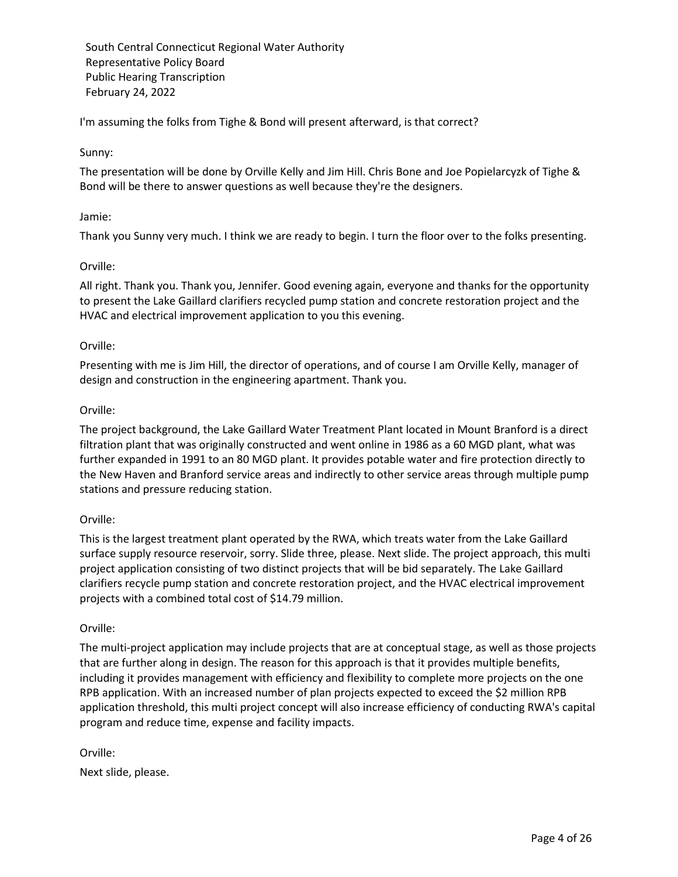I'm assuming the folks from Tighe & Bond will present afterward, is that correct?

#### Sunny:

The presentation will be done by Orville Kelly and Jim Hill. Chris Bone and Joe Popielarcyzk of Tighe & Bond will be there to answer questions as well because they're the designers.

#### Jamie:

Thank you Sunny very much. I think we are ready to begin. I turn the floor over to the folks presenting.

#### Orville:

All right. Thank you. Thank you, Jennifer. Good evening again, everyone and thanks for the opportunity to present the Lake Gaillard clarifiers recycled pump station and concrete restoration project and the HVAC and electrical improvement application to you this evening.

#### Orville:

Presenting with me is Jim Hill, the director of operations, and of course I am Orville Kelly, manager of design and construction in the engineering apartment. Thank you.

#### Orville:

The project background, the Lake Gaillard Water Treatment Plant located in Mount Branford is a direct filtration plant that was originally constructed and went online in 1986 as a 60 MGD plant, what was further expanded in 1991 to an 80 MGD plant. It provides potable water and fire protection directly to the New Haven and Branford service areas and indirectly to other service areas through multiple pump stations and pressure reducing station.

#### Orville:

This is the largest treatment plant operated by the RWA, which treats water from the Lake Gaillard surface supply resource reservoir, sorry. Slide three, please. Next slide. The project approach, this multi project application consisting of two distinct projects that will be bid separately. The Lake Gaillard clarifiers recycle pump station and concrete restoration project, and the HVAC electrical improvement projects with a combined total cost of \$14.79 million.

#### Orville:

The multi-project application may include projects that are at conceptual stage, as well as those projects that are further along in design. The reason for this approach is that it provides multiple benefits, including it provides management with efficiency and flexibility to complete more projects on the one RPB application. With an increased number of plan projects expected to exceed the \$2 million RPB application threshold, this multi project concept will also increase efficiency of conducting RWA's capital program and reduce time, expense and facility impacts.

Orville:

Next slide, please.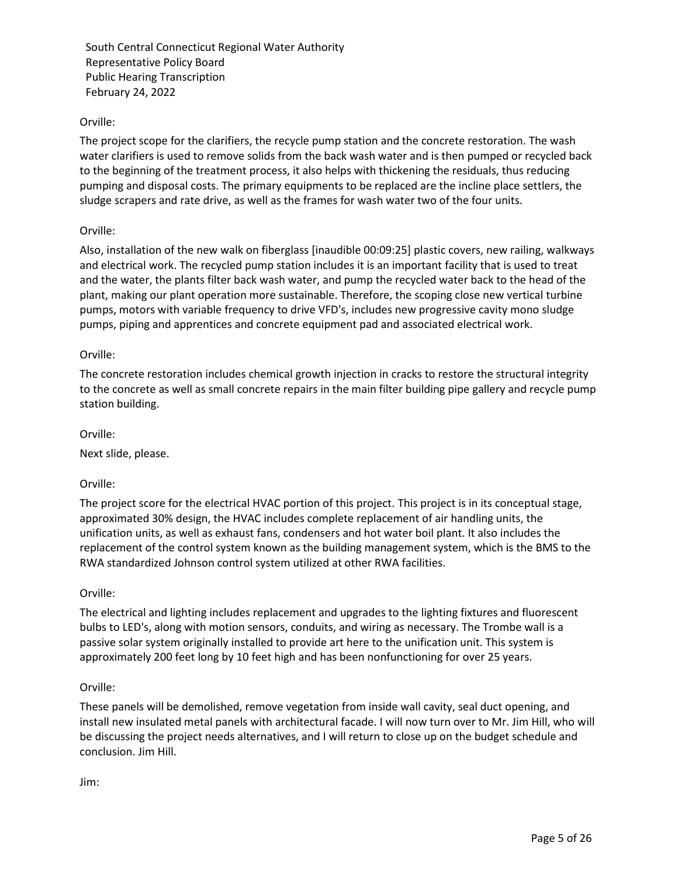# Orville:

The project scope for the clarifiers, the recycle pump station and the concrete restoration. The wash water clarifiers is used to remove solids from the back wash water and is then pumped or recycled back to the beginning of the treatment process, it also helps with thickening the residuals, thus reducing pumping and disposal costs. The primary equipments to be replaced are the incline place settlers, the sludge scrapers and rate drive, as well as the frames for wash water two of the four units.

## Orville:

Also, installation of the new walk on fiberglass [inaudible 00:09:25] plastic covers, new railing, walkways and electrical work. The recycled pump station includes it is an important facility that is used to treat and the water, the plants filter back wash water, and pump the recycled water back to the head of the plant, making our plant operation more sustainable. Therefore, the scoping close new vertical turbine pumps, motors with variable frequency to drive VFD's, includes new progressive cavity mono sludge pumps, piping and apprentices and concrete equipment pad and associated electrical work.

## Orville:

The concrete restoration includes chemical growth injection in cracks to restore the structural integrity to the concrete as well as small concrete repairs in the main filter building pipe gallery and recycle pump station building.

#### Orville:

Next slide, please.

## Orville:

The project score for the electrical HVAC portion of this project. This project is in its conceptual stage, approximated 30% design, the HVAC includes complete replacement of air handling units, the unification units, as well as exhaust fans, condensers and hot water boil plant. It also includes the replacement of the control system known as the building management system, which is the BMS to the RWA standardized Johnson control system utilized at other RWA facilities.

#### Orville:

The electrical and lighting includes replacement and upgrades to the lighting fixtures and fluorescent bulbs to LED's, along with motion sensors, conduits, and wiring as necessary. The Trombe wall is a passive solar system originally installed to provide art here to the unification unit. This system is approximately 200 feet long by 10 feet high and has been nonfunctioning for over 25 years.

## Orville:

These panels will be demolished, remove vegetation from inside wall cavity, seal duct opening, and install new insulated metal panels with architectural facade. I will now turn over to Mr. Jim Hill, who will be discussing the project needs alternatives, and I will return to close up on the budget schedule and conclusion. Jim Hill.

Jim: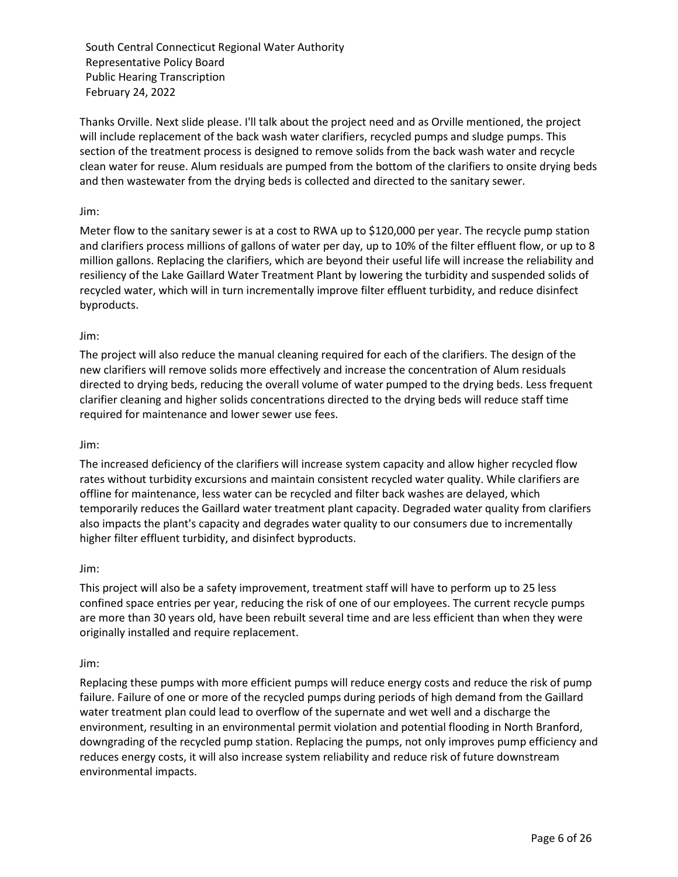Thanks Orville. Next slide please. I'll talk about the project need and as Orville mentioned, the project will include replacement of the back wash water clarifiers, recycled pumps and sludge pumps. This section of the treatment process is designed to remove solids from the back wash water and recycle clean water for reuse. Alum residuals are pumped from the bottom of the clarifiers to onsite drying beds and then wastewater from the drying beds is collected and directed to the sanitary sewer.

## Jim:

Meter flow to the sanitary sewer is at a cost to RWA up to \$120,000 per year. The recycle pump station and clarifiers process millions of gallons of water per day, up to 10% of the filter effluent flow, or up to 8 million gallons. Replacing the clarifiers, which are beyond their useful life will increase the reliability and resiliency of the Lake Gaillard Water Treatment Plant by lowering the turbidity and suspended solids of recycled water, which will in turn incrementally improve filter effluent turbidity, and reduce disinfect byproducts.

#### Jim:

The project will also reduce the manual cleaning required for each of the clarifiers. The design of the new clarifiers will remove solids more effectively and increase the concentration of Alum residuals directed to drying beds, reducing the overall volume of water pumped to the drying beds. Less frequent clarifier cleaning and higher solids concentrations directed to the drying beds will reduce staff time required for maintenance and lower sewer use fees.

#### Jim:

The increased deficiency of the clarifiers will increase system capacity and allow higher recycled flow rates without turbidity excursions and maintain consistent recycled water quality. While clarifiers are offline for maintenance, less water can be recycled and filter back washes are delayed, which temporarily reduces the Gaillard water treatment plant capacity. Degraded water quality from clarifiers also impacts the plant's capacity and degrades water quality to our consumers due to incrementally higher filter effluent turbidity, and disinfect byproducts.

#### Jim:

This project will also be a safety improvement, treatment staff will have to perform up to 25 less confined space entries per year, reducing the risk of one of our employees. The current recycle pumps are more than 30 years old, have been rebuilt several time and are less efficient than when they were originally installed and require replacement.

#### Jim:

Replacing these pumps with more efficient pumps will reduce energy costs and reduce the risk of pump failure. Failure of one or more of the recycled pumps during periods of high demand from the Gaillard water treatment plan could lead to overflow of the supernate and wet well and a discharge the environment, resulting in an environmental permit violation and potential flooding in North Branford, downgrading of the recycled pump station. Replacing the pumps, not only improves pump efficiency and reduces energy costs, it will also increase system reliability and reduce risk of future downstream environmental impacts.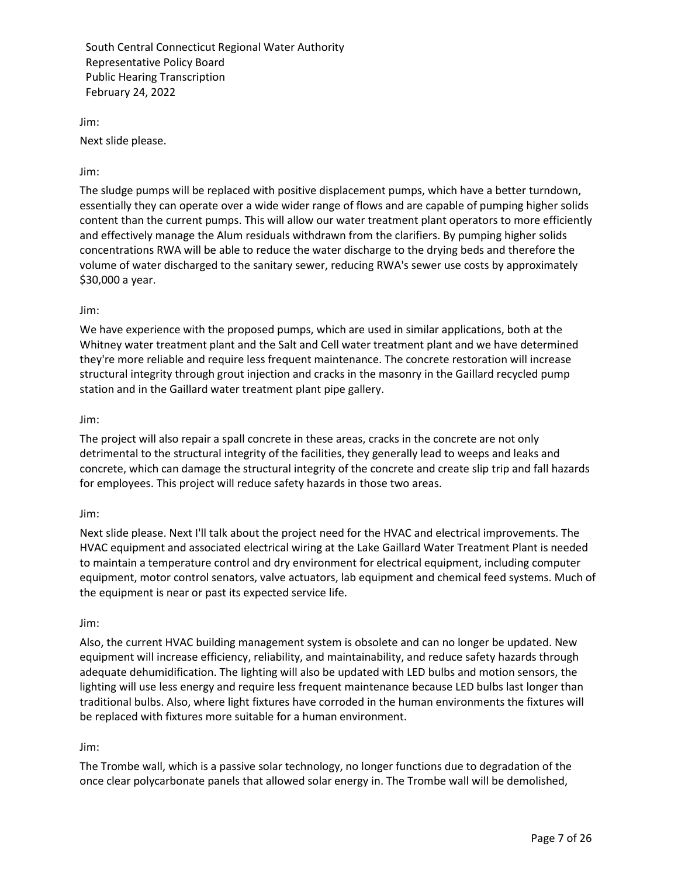Jim:

Next slide please.

Jim:

The sludge pumps will be replaced with positive displacement pumps, which have a better turndown, essentially they can operate over a wide wider range of flows and are capable of pumping higher solids content than the current pumps. This will allow our water treatment plant operators to more efficiently and effectively manage the Alum residuals withdrawn from the clarifiers. By pumping higher solids concentrations RWA will be able to reduce the water discharge to the drying beds and therefore the volume of water discharged to the sanitary sewer, reducing RWA's sewer use costs by approximately \$30,000 a year.

#### Jim:

We have experience with the proposed pumps, which are used in similar applications, both at the Whitney water treatment plant and the Salt and Cell water treatment plant and we have determined they're more reliable and require less frequent maintenance. The concrete restoration will increase structural integrity through grout injection and cracks in the masonry in the Gaillard recycled pump station and in the Gaillard water treatment plant pipe gallery.

#### Jim:

The project will also repair a spall concrete in these areas, cracks in the concrete are not only detrimental to the structural integrity of the facilities, they generally lead to weeps and leaks and concrete, which can damage the structural integrity of the concrete and create slip trip and fall hazards for employees. This project will reduce safety hazards in those two areas.

#### Jim:

Next slide please. Next I'll talk about the project need for the HVAC and electrical improvements. The HVAC equipment and associated electrical wiring at the Lake Gaillard Water Treatment Plant is needed to maintain a temperature control and dry environment for electrical equipment, including computer equipment, motor control senators, valve actuators, lab equipment and chemical feed systems. Much of the equipment is near or past its expected service life.

#### Jim:

Also, the current HVAC building management system is obsolete and can no longer be updated. New equipment will increase efficiency, reliability, and maintainability, and reduce safety hazards through adequate dehumidification. The lighting will also be updated with LED bulbs and motion sensors, the lighting will use less energy and require less frequent maintenance because LED bulbs last longer than traditional bulbs. Also, where light fixtures have corroded in the human environments the fixtures will be replaced with fixtures more suitable for a human environment.

#### Jim:

The Trombe wall, which is a passive solar technology, no longer functions due to degradation of the once clear polycarbonate panels that allowed solar energy in. The Trombe wall will be demolished,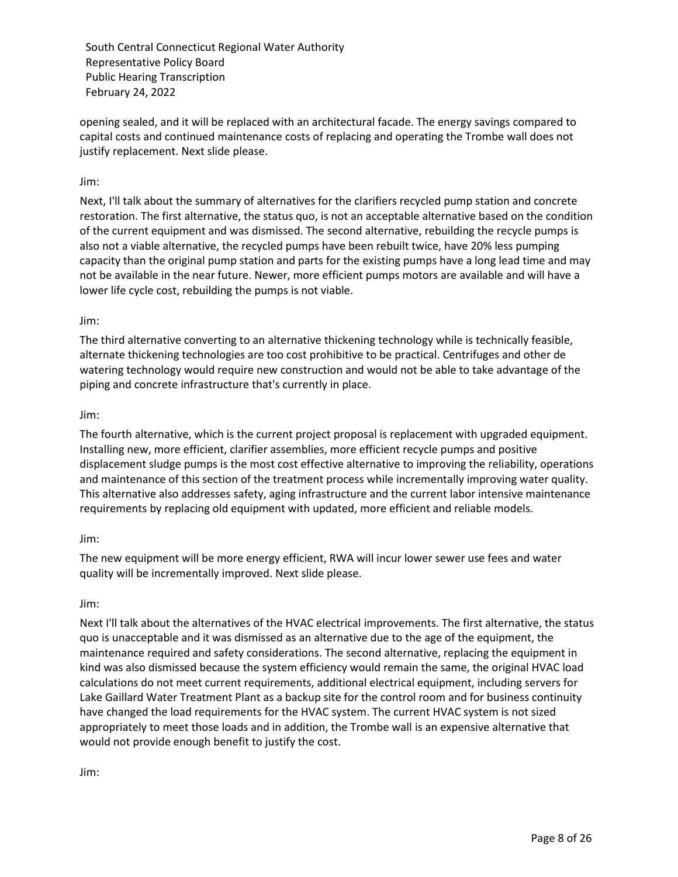opening sealed, and it will be replaced with an architectural facade. The energy savings compared to capital costs and continued maintenance costs of replacing and operating the Trombe wall does not justify replacement. Next slide please.

# Jim:

Next, I'll talk about the summary of alternatives for the clarifiers recycled pump station and concrete restoration. The first alternative, the status quo, is not an acceptable alternative based on the condition of the current equipment and was dismissed. The second alternative, rebuilding the recycle pumps is also not a viable alternative, the recycled pumps have been rebuilt twice, have 20% less pumping capacity than the original pump station and parts for the existing pumps have a long lead time and may not be available in the near future. Newer, more efficient pumps motors are available and will have a lower life cycle cost, rebuilding the pumps is not viable.

#### Jim:

The third alternative converting to an alternative thickening technology while is technically feasible, alternate thickening technologies are too cost prohibitive to be practical. Centrifuges and other de watering technology would require new construction and would not be able to take advantage of the piping and concrete infrastructure that's currently in place.

#### Jim:

The fourth alternative, which is the current project proposal is replacement with upgraded equipment. Installing new, more efficient, clarifier assemblies, more efficient recycle pumps and positive displacement sludge pumps is the most cost effective alternative to improving the reliability, operations and maintenance of this section of the treatment process while incrementally improving water quality. This alternative also addresses safety, aging infrastructure and the current labor intensive maintenance requirements by replacing old equipment with updated, more efficient and reliable models.

## Jim:

The new equipment will be more energy efficient, RWA will incur lower sewer use fees and water quality will be incrementally improved. Next slide please.

#### Jim:

Next I'll talk about the alternatives of the HVAC electrical improvements. The first alternative, the status quo is unacceptable and it was dismissed as an alternative due to the age of the equipment, the maintenance required and safety considerations. The second alternative, replacing the equipment in kind was also dismissed because the system efficiency would remain the same, the original HVAC load calculations do not meet current requirements, additional electrical equipment, including servers for Lake Gaillard Water Treatment Plant as a backup site for the control room and for business continuity have changed the load requirements for the HVAC system. The current HVAC system is not sized appropriately to meet those loads and in addition, the Trombe wall is an expensive alternative that would not provide enough benefit to justify the cost.

Jim: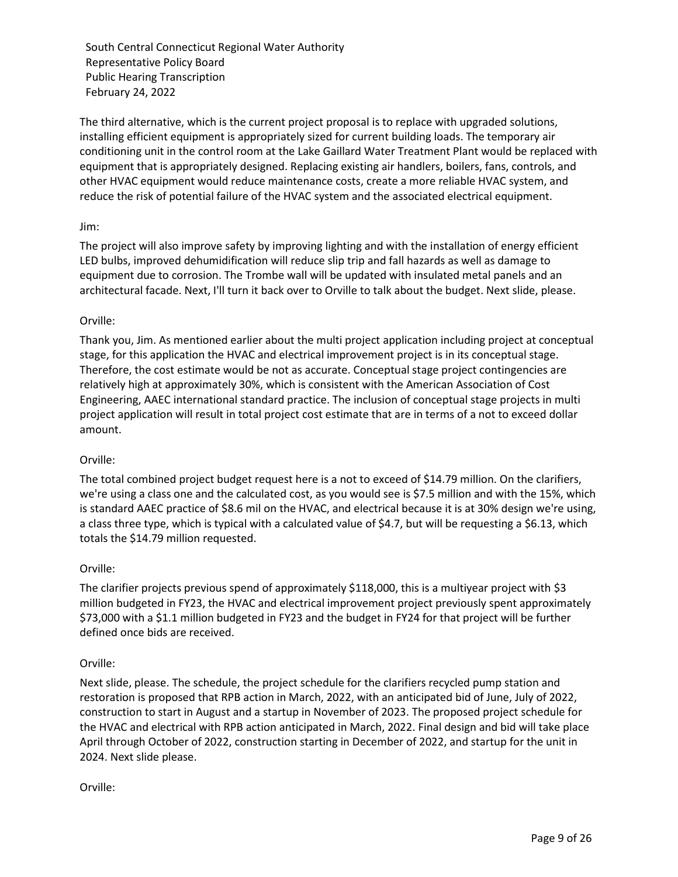The third alternative, which is the current project proposal is to replace with upgraded solutions, installing efficient equipment is appropriately sized for current building loads. The temporary air conditioning unit in the control room at the Lake Gaillard Water Treatment Plant would be replaced with equipment that is appropriately designed. Replacing existing air handlers, boilers, fans, controls, and other HVAC equipment would reduce maintenance costs, create a more reliable HVAC system, and reduce the risk of potential failure of the HVAC system and the associated electrical equipment.

# Jim:

The project will also improve safety by improving lighting and with the installation of energy efficient LED bulbs, improved dehumidification will reduce slip trip and fall hazards as well as damage to equipment due to corrosion. The Trombe wall will be updated with insulated metal panels and an architectural facade. Next, I'll turn it back over to Orville to talk about the budget. Next slide, please.

# Orville:

Thank you, Jim. As mentioned earlier about the multi project application including project at conceptual stage, for this application the HVAC and electrical improvement project is in its conceptual stage. Therefore, the cost estimate would be not as accurate. Conceptual stage project contingencies are relatively high at approximately 30%, which is consistent with the American Association of Cost Engineering, AAEC international standard practice. The inclusion of conceptual stage projects in multi project application will result in total project cost estimate that are in terms of a not to exceed dollar amount.

## Orville:

The total combined project budget request here is a not to exceed of \$14.79 million. On the clarifiers, we're using a class one and the calculated cost, as you would see is \$7.5 million and with the 15%, which is standard AAEC practice of \$8.6 mil on the HVAC, and electrical because it is at 30% design we're using, a class three type, which is typical with a calculated value of \$4.7, but will be requesting a \$6.13, which totals the \$14.79 million requested.

## Orville:

The clarifier projects previous spend of approximately \$118,000, this is a multiyear project with \$3 million budgeted in FY23, the HVAC and electrical improvement project previously spent approximately \$73,000 with a \$1.1 million budgeted in FY23 and the budget in FY24 for that project will be further defined once bids are received.

## Orville:

Next slide, please. The schedule, the project schedule for the clarifiers recycled pump station and restoration is proposed that RPB action in March, 2022, with an anticipated bid of June, July of 2022, construction to start in August and a startup in November of 2023. The proposed project schedule for the HVAC and electrical with RPB action anticipated in March, 2022. Final design and bid will take place April through October of 2022, construction starting in December of 2022, and startup for the unit in 2024. Next slide please.

## Orville: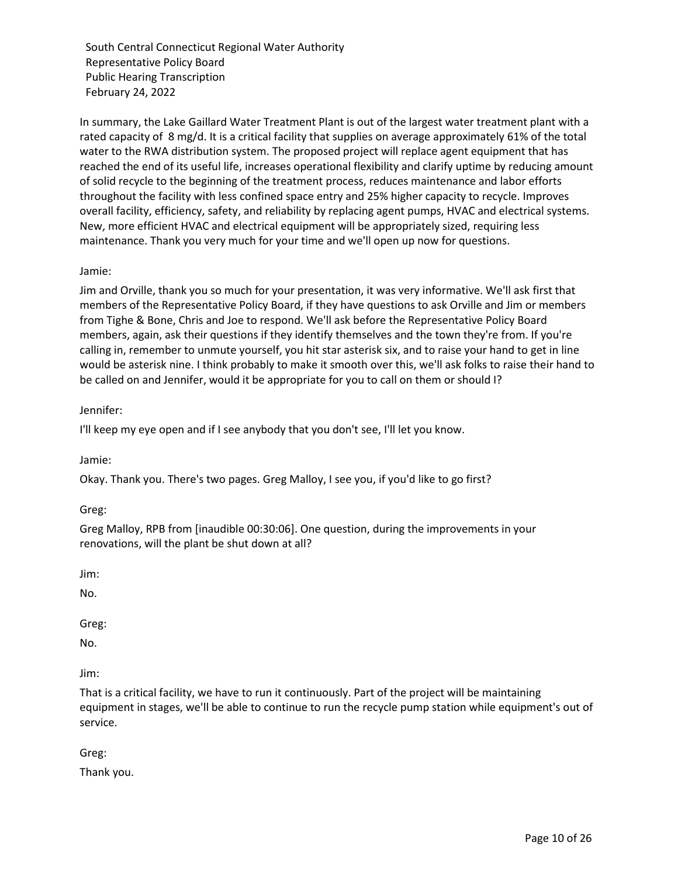In summary, the Lake Gaillard Water Treatment Plant is out of the largest water treatment plant with a rated capacity of 8 mg/d. It is a critical facility that supplies on average approximately 61% of the total water to the RWA distribution system. The proposed project will replace agent equipment that has reached the end of its useful life, increases operational flexibility and clarify uptime by reducing amount of solid recycle to the beginning of the treatment process, reduces maintenance and labor efforts throughout the facility with less confined space entry and 25% higher capacity to recycle. Improves overall facility, efficiency, safety, and reliability by replacing agent pumps, HVAC and electrical systems. New, more efficient HVAC and electrical equipment will be appropriately sized, requiring less maintenance. Thank you very much for your time and we'll open up now for questions.

# Jamie:

Jim and Orville, thank you so much for your presentation, it was very informative. We'll ask first that members of the Representative Policy Board, if they have questions to ask Orville and Jim or members from Tighe & Bone, Chris and Joe to respond. We'll ask before the Representative Policy Board members, again, ask their questions if they identify themselves and the town they're from. If you're calling in, remember to unmute yourself, you hit star asterisk six, and to raise your hand to get in line would be asterisk nine. I think probably to make it smooth over this, we'll ask folks to raise their hand to be called on and Jennifer, would it be appropriate for you to call on them or should I?

## Jennifer:

I'll keep my eye open and if I see anybody that you don't see, I'll let you know.

Jamie:

Okay. Thank you. There's two pages. Greg Malloy, I see you, if you'd like to go first?

Greg:

Greg Malloy, RPB from [inaudible 00:30:06]. One question, during the improvements in your renovations, will the plant be shut down at all?

Jim:

No.

Greg:

No.

Jim:

That is a critical facility, we have to run it continuously. Part of the project will be maintaining equipment in stages, we'll be able to continue to run the recycle pump station while equipment's out of service.

Greg:

Thank you.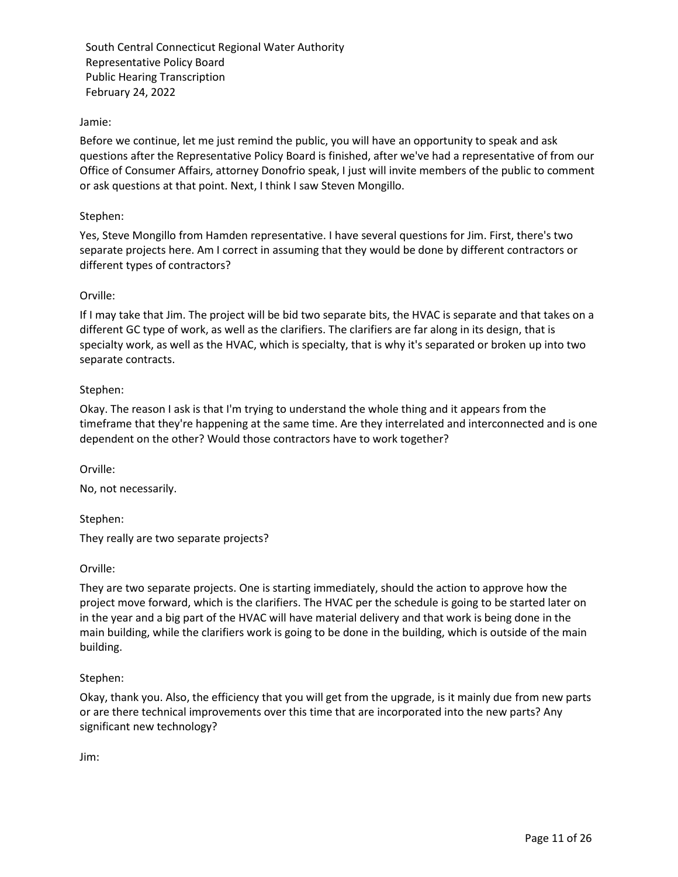# Jamie:

Before we continue, let me just remind the public, you will have an opportunity to speak and ask questions after the Representative Policy Board is finished, after we've had a representative of from our Office of Consumer Affairs, attorney Donofrio speak, I just will invite members of the public to comment or ask questions at that point. Next, I think I saw Steven Mongillo.

#### Stephen:

Yes, Steve Mongillo from Hamden representative. I have several questions for Jim. First, there's two separate projects here. Am I correct in assuming that they would be done by different contractors or different types of contractors?

#### Orville:

If I may take that Jim. The project will be bid two separate bits, the HVAC is separate and that takes on a different GC type of work, as well as the clarifiers. The clarifiers are far along in its design, that is specialty work, as well as the HVAC, which is specialty, that is why it's separated or broken up into two separate contracts.

## Stephen:

Okay. The reason I ask is that I'm trying to understand the whole thing and it appears from the timeframe that they're happening at the same time. Are they interrelated and interconnected and is one dependent on the other? Would those contractors have to work together?

Orville:

No, not necessarily.

Stephen:

They really are two separate projects?

Orville:

They are two separate projects. One is starting immediately, should the action to approve how the project move forward, which is the clarifiers. The HVAC per the schedule is going to be started later on in the year and a big part of the HVAC will have material delivery and that work is being done in the main building, while the clarifiers work is going to be done in the building, which is outside of the main building.

## Stephen:

Okay, thank you. Also, the efficiency that you will get from the upgrade, is it mainly due from new parts or are there technical improvements over this time that are incorporated into the new parts? Any significant new technology?

Jim: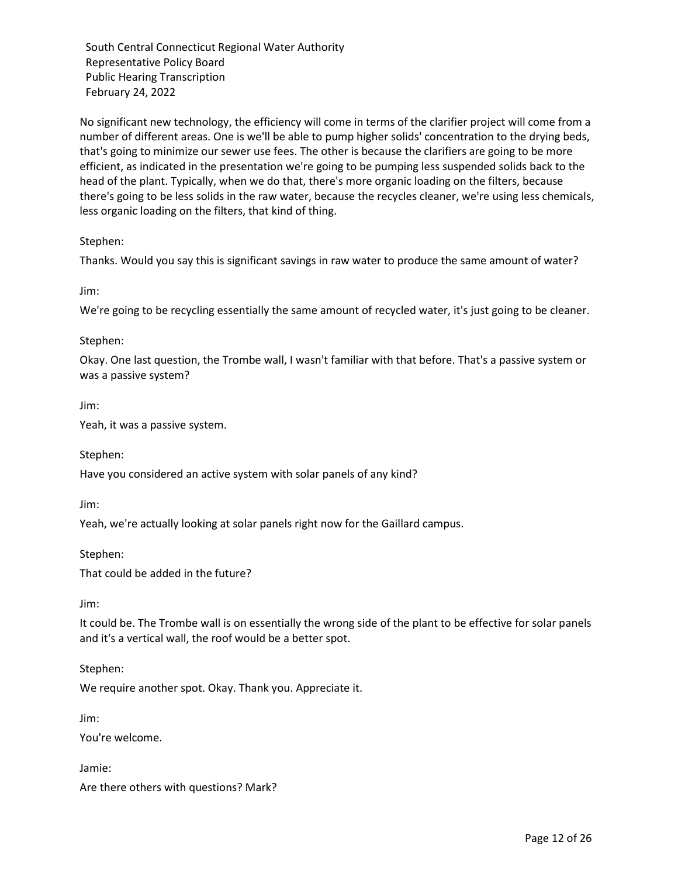No significant new technology, the efficiency will come in terms of the clarifier project will come from a number of different areas. One is we'll be able to pump higher solids' concentration to the drying beds, that's going to minimize our sewer use fees. The other is because the clarifiers are going to be more efficient, as indicated in the presentation we're going to be pumping less suspended solids back to the head of the plant. Typically, when we do that, there's more organic loading on the filters, because there's going to be less solids in the raw water, because the recycles cleaner, we're using less chemicals, less organic loading on the filters, that kind of thing.

Stephen:

Thanks. Would you say this is significant savings in raw water to produce the same amount of water?

Jim:

We're going to be recycling essentially the same amount of recycled water, it's just going to be cleaner.

#### Stephen:

Okay. One last question, the Trombe wall, I wasn't familiar with that before. That's a passive system or was a passive system?

Jim:

Yeah, it was a passive system.

Stephen:

Have you considered an active system with solar panels of any kind?

Jim:

Yeah, we're actually looking at solar panels right now for the Gaillard campus.

Stephen:

That could be added in the future?

Jim:

It could be. The Trombe wall is on essentially the wrong side of the plant to be effective for solar panels and it's a vertical wall, the roof would be a better spot.

Stephen:

We require another spot. Okay. Thank you. Appreciate it.

Jim:

You're welcome.

Jamie:

Are there others with questions? Mark?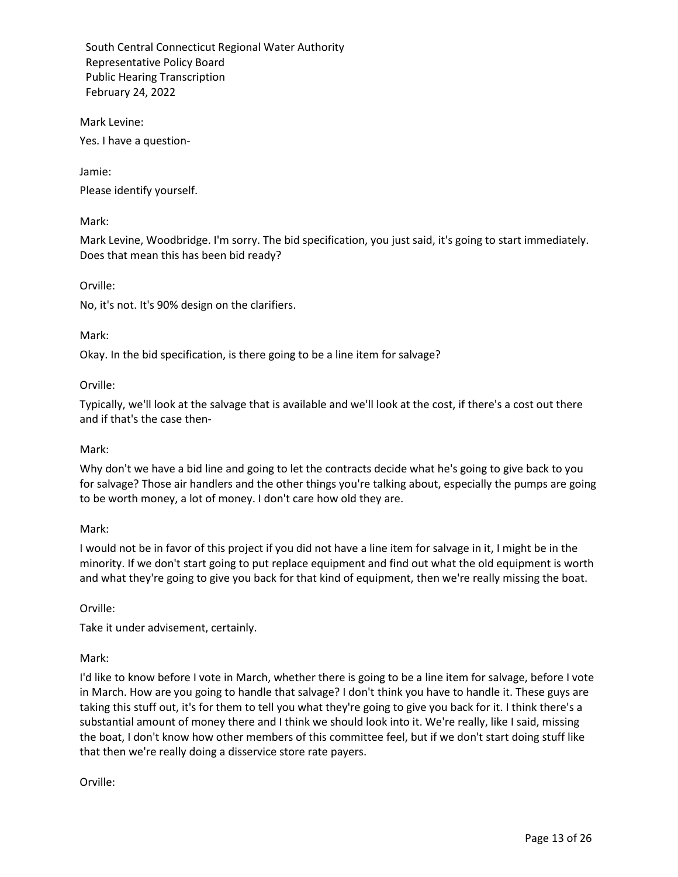Mark Levine:

Yes. I have a question-

Jamie:

Please identify yourself.

Mark:

Mark Levine, Woodbridge. I'm sorry. The bid specification, you just said, it's going to start immediately. Does that mean this has been bid ready?

Orville:

No, it's not. It's 90% design on the clarifiers.

#### Mark:

Okay. In the bid specification, is there going to be a line item for salvage?

#### Orville:

Typically, we'll look at the salvage that is available and we'll look at the cost, if there's a cost out there and if that's the case then-

#### Mark:

Why don't we have a bid line and going to let the contracts decide what he's going to give back to you for salvage? Those air handlers and the other things you're talking about, especially the pumps are going to be worth money, a lot of money. I don't care how old they are.

## Mark:

I would not be in favor of this project if you did not have a line item for salvage in it, I might be in the minority. If we don't start going to put replace equipment and find out what the old equipment is worth and what they're going to give you back for that kind of equipment, then we're really missing the boat.

Orville:

Take it under advisement, certainly.

## Mark:

I'd like to know before I vote in March, whether there is going to be a line item for salvage, before I vote in March. How are you going to handle that salvage? I don't think you have to handle it. These guys are taking this stuff out, it's for them to tell you what they're going to give you back for it. I think there's a substantial amount of money there and I think we should look into it. We're really, like I said, missing the boat, I don't know how other members of this committee feel, but if we don't start doing stuff like that then we're really doing a disservice store rate payers.

Orville: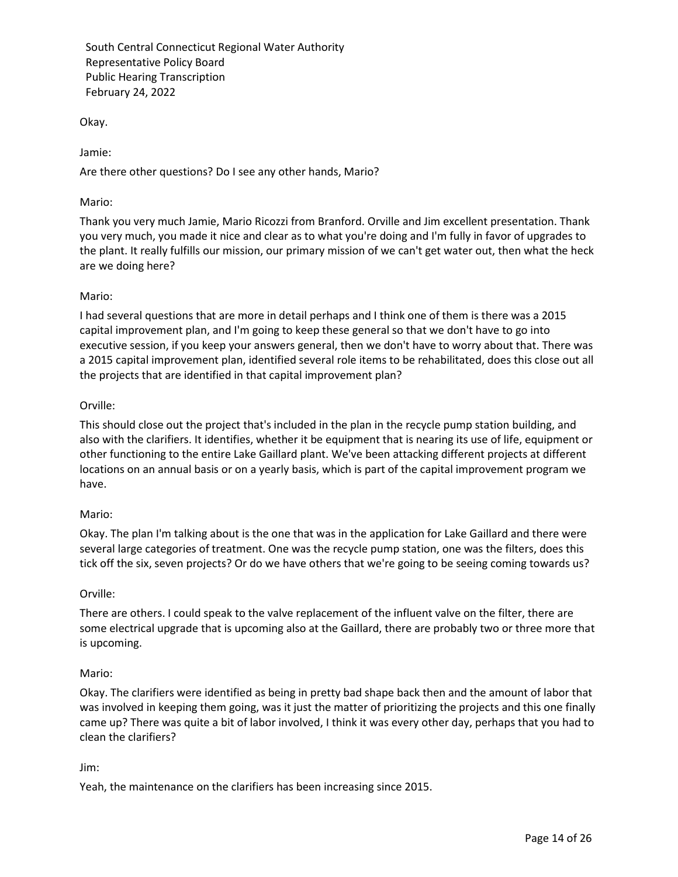Okay.

Jamie:

Are there other questions? Do I see any other hands, Mario?

## Mario:

Thank you very much Jamie, Mario Ricozzi from Branford. Orville and Jim excellent presentation. Thank you very much, you made it nice and clear as to what you're doing and I'm fully in favor of upgrades to the plant. It really fulfills our mission, our primary mission of we can't get water out, then what the heck are we doing here?

# Mario:

I had several questions that are more in detail perhaps and I think one of them is there was a 2015 capital improvement plan, and I'm going to keep these general so that we don't have to go into executive session, if you keep your answers general, then we don't have to worry about that. There was a 2015 capital improvement plan, identified several role items to be rehabilitated, does this close out all the projects that are identified in that capital improvement plan?

## Orville:

This should close out the project that's included in the plan in the recycle pump station building, and also with the clarifiers. It identifies, whether it be equipment that is nearing its use of life, equipment or other functioning to the entire Lake Gaillard plant. We've been attacking different projects at different locations on an annual basis or on a yearly basis, which is part of the capital improvement program we have.

## Mario:

Okay. The plan I'm talking about is the one that was in the application for Lake Gaillard and there were several large categories of treatment. One was the recycle pump station, one was the filters, does this tick off the six, seven projects? Or do we have others that we're going to be seeing coming towards us?

## Orville:

There are others. I could speak to the valve replacement of the influent valve on the filter, there are some electrical upgrade that is upcoming also at the Gaillard, there are probably two or three more that is upcoming.

## Mario:

Okay. The clarifiers were identified as being in pretty bad shape back then and the amount of labor that was involved in keeping them going, was it just the matter of prioritizing the projects and this one finally came up? There was quite a bit of labor involved, I think it was every other day, perhaps that you had to clean the clarifiers?

## Jim:

Yeah, the maintenance on the clarifiers has been increasing since 2015.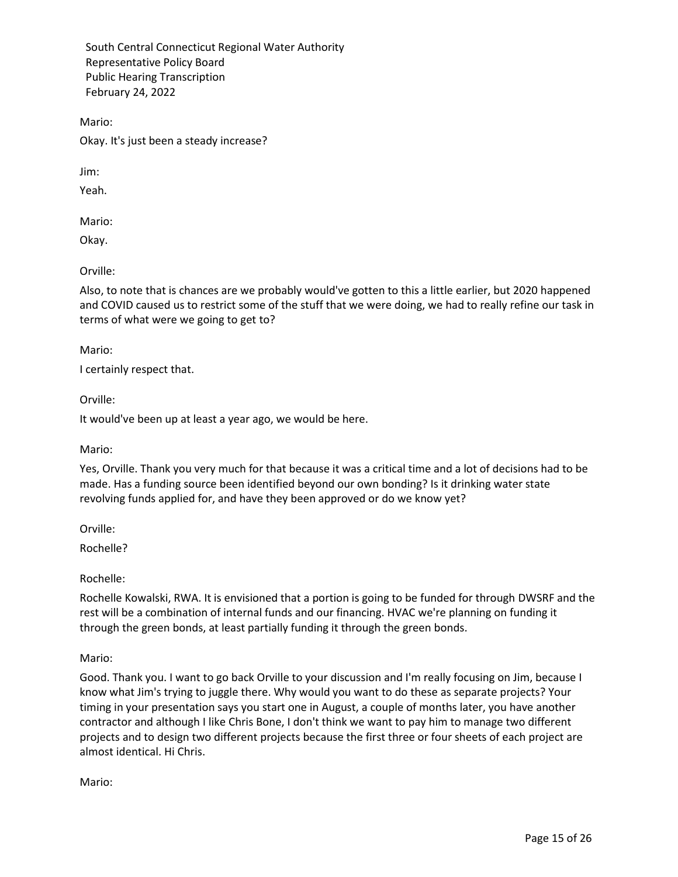Mario:

Okay. It's just been a steady increase?

Jim:

Yeah.

Mario:

Okay.

Orville:

Also, to note that is chances are we probably would've gotten to this a little earlier, but 2020 happened and COVID caused us to restrict some of the stuff that we were doing, we had to really refine our task in terms of what were we going to get to?

Mario:

I certainly respect that.

Orville:

It would've been up at least a year ago, we would be here.

Mario:

Yes, Orville. Thank you very much for that because it was a critical time and a lot of decisions had to be made. Has a funding source been identified beyond our own bonding? Is it drinking water state revolving funds applied for, and have they been approved or do we know yet?

Orville:

Rochelle?

Rochelle:

Rochelle Kowalski, RWA. It is envisioned that a portion is going to be funded for through DWSRF and the rest will be a combination of internal funds and our financing. HVAC we're planning on funding it through the green bonds, at least partially funding it through the green bonds.

Mario:

Good. Thank you. I want to go back Orville to your discussion and I'm really focusing on Jim, because I know what Jim's trying to juggle there. Why would you want to do these as separate projects? Your timing in your presentation says you start one in August, a couple of months later, you have another contractor and although I like Chris Bone, I don't think we want to pay him to manage two different projects and to design two different projects because the first three or four sheets of each project are almost identical. Hi Chris.

Mario: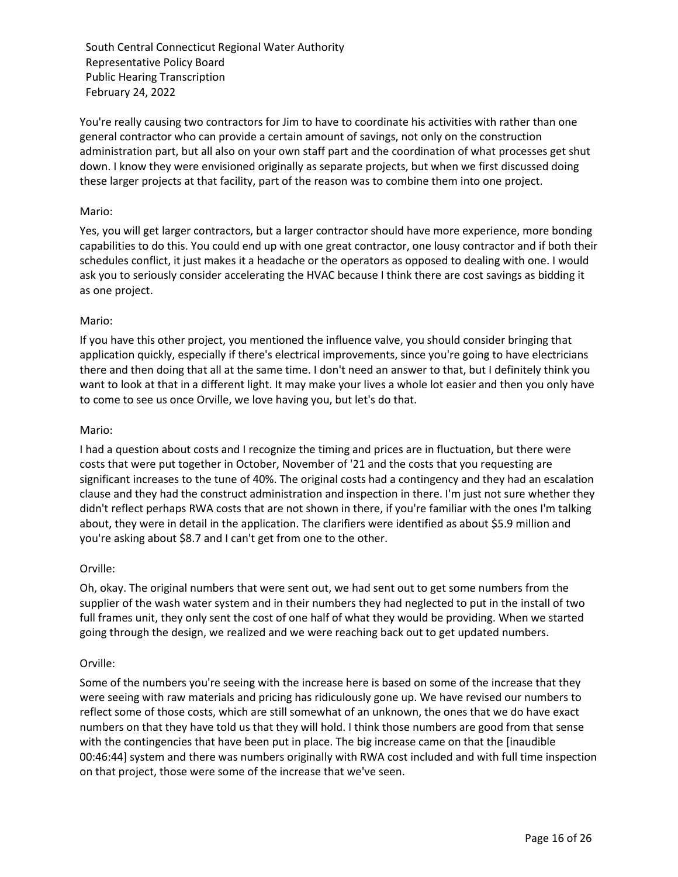You're really causing two contractors for Jim to have to coordinate his activities with rather than one general contractor who can provide a certain amount of savings, not only on the construction administration part, but all also on your own staff part and the coordination of what processes get shut down. I know they were envisioned originally as separate projects, but when we first discussed doing these larger projects at that facility, part of the reason was to combine them into one project.

#### Mario:

Yes, you will get larger contractors, but a larger contractor should have more experience, more bonding capabilities to do this. You could end up with one great contractor, one lousy contractor and if both their schedules conflict, it just makes it a headache or the operators as opposed to dealing with one. I would ask you to seriously consider accelerating the HVAC because I think there are cost savings as bidding it as one project.

#### Mario:

If you have this other project, you mentioned the influence valve, you should consider bringing that application quickly, especially if there's electrical improvements, since you're going to have electricians there and then doing that all at the same time. I don't need an answer to that, but I definitely think you want to look at that in a different light. It may make your lives a whole lot easier and then you only have to come to see us once Orville, we love having you, but let's do that.

#### Mario:

I had a question about costs and I recognize the timing and prices are in fluctuation, but there were costs that were put together in October, November of '21 and the costs that you requesting are significant increases to the tune of 40%. The original costs had a contingency and they had an escalation clause and they had the construct administration and inspection in there. I'm just not sure whether they didn't reflect perhaps RWA costs that are not shown in there, if you're familiar with the ones I'm talking about, they were in detail in the application. The clarifiers were identified as about \$5.9 million and you're asking about \$8.7 and I can't get from one to the other.

## Orville:

Oh, okay. The original numbers that were sent out, we had sent out to get some numbers from the supplier of the wash water system and in their numbers they had neglected to put in the install of two full frames unit, they only sent the cost of one half of what they would be providing. When we started going through the design, we realized and we were reaching back out to get updated numbers.

#### Orville:

Some of the numbers you're seeing with the increase here is based on some of the increase that they were seeing with raw materials and pricing has ridiculously gone up. We have revised our numbers to reflect some of those costs, which are still somewhat of an unknown, the ones that we do have exact numbers on that they have told us that they will hold. I think those numbers are good from that sense with the contingencies that have been put in place. The big increase came on that the [inaudible 00:46:44] system and there was numbers originally with RWA cost included and with full time inspection on that project, those were some of the increase that we've seen.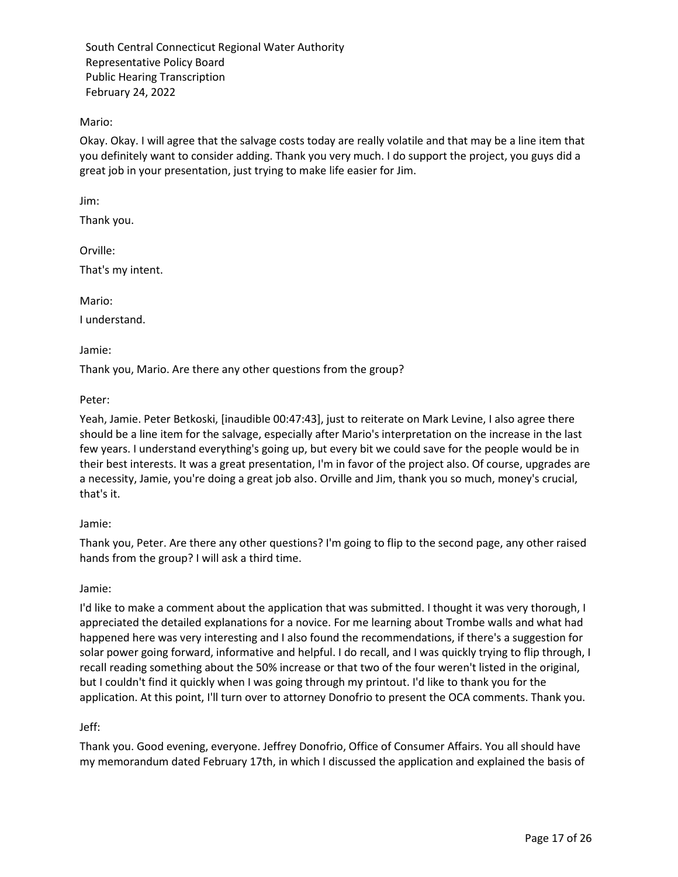Mario:

Okay. Okay. I will agree that the salvage costs today are really volatile and that may be a line item that you definitely want to consider adding. Thank you very much. I do support the project, you guys did a great job in your presentation, just trying to make life easier for Jim.

Jim:

Thank you.

Orville:

That's my intent.

Mario:

I understand.

Jamie:

Thank you, Mario. Are there any other questions from the group?

Peter:

Yeah, Jamie. Peter Betkoski, [inaudible 00:47:43], just to reiterate on Mark Levine, I also agree there should be a line item for the salvage, especially after Mario's interpretation on the increase in the last few years. I understand everything's going up, but every bit we could save for the people would be in their best interests. It was a great presentation, I'm in favor of the project also. Of course, upgrades are a necessity, Jamie, you're doing a great job also. Orville and Jim, thank you so much, money's crucial, that's it.

#### Jamie:

Thank you, Peter. Are there any other questions? I'm going to flip to the second page, any other raised hands from the group? I will ask a third time.

#### Jamie:

I'd like to make a comment about the application that was submitted. I thought it was very thorough, I appreciated the detailed explanations for a novice. For me learning about Trombe walls and what had happened here was very interesting and I also found the recommendations, if there's a suggestion for solar power going forward, informative and helpful. I do recall, and I was quickly trying to flip through, I recall reading something about the 50% increase or that two of the four weren't listed in the original, but I couldn't find it quickly when I was going through my printout. I'd like to thank you for the application. At this point, I'll turn over to attorney Donofrio to present the OCA comments. Thank you.

Jeff:

Thank you. Good evening, everyone. Jeffrey Donofrio, Office of Consumer Affairs. You all should have my memorandum dated February 17th, in which I discussed the application and explained the basis of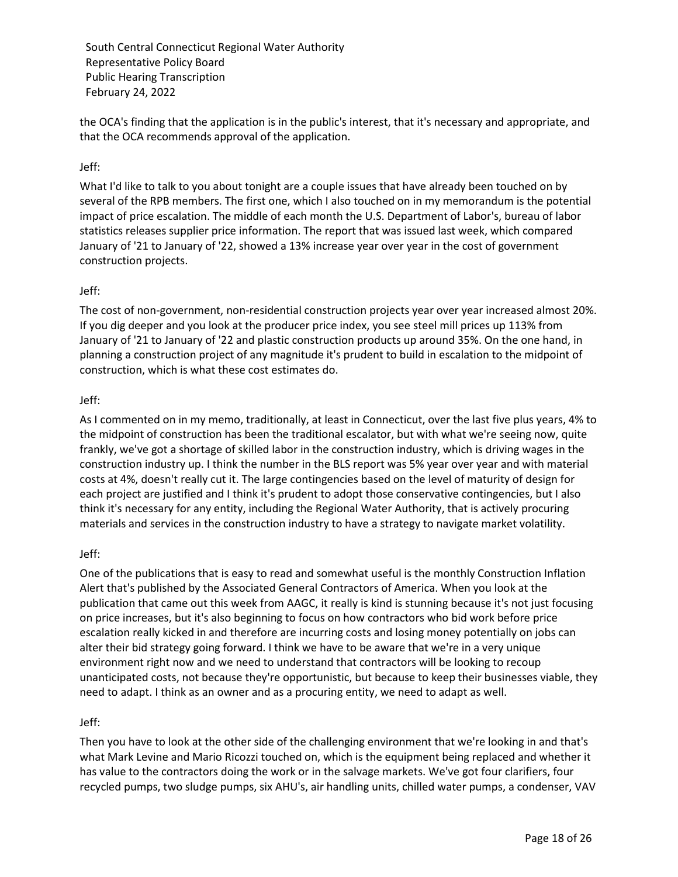the OCA's finding that the application is in the public's interest, that it's necessary and appropriate, and that the OCA recommends approval of the application.

# Jeff:

What I'd like to talk to you about tonight are a couple issues that have already been touched on by several of the RPB members. The first one, which I also touched on in my memorandum is the potential impact of price escalation. The middle of each month the U.S. Department of Labor's, bureau of labor statistics releases supplier price information. The report that was issued last week, which compared January of '21 to January of '22, showed a 13% increase year over year in the cost of government construction projects.

## Jeff:

The cost of non-government, non-residential construction projects year over year increased almost 20%. If you dig deeper and you look at the producer price index, you see steel mill prices up 113% from January of '21 to January of '22 and plastic construction products up around 35%. On the one hand, in planning a construction project of any magnitude it's prudent to build in escalation to the midpoint of construction, which is what these cost estimates do.

#### Jeff:

As I commented on in my memo, traditionally, at least in Connecticut, over the last five plus years, 4% to the midpoint of construction has been the traditional escalator, but with what we're seeing now, quite frankly, we've got a shortage of skilled labor in the construction industry, which is driving wages in the construction industry up. I think the number in the BLS report was 5% year over year and with material costs at 4%, doesn't really cut it. The large contingencies based on the level of maturity of design for each project are justified and I think it's prudent to adopt those conservative contingencies, but I also think it's necessary for any entity, including the Regional Water Authority, that is actively procuring materials and services in the construction industry to have a strategy to navigate market volatility.

#### Jeff:

One of the publications that is easy to read and somewhat useful is the monthly Construction Inflation Alert that's published by the Associated General Contractors of America. When you look at the publication that came out this week from AAGC, it really is kind is stunning because it's not just focusing on price increases, but it's also beginning to focus on how contractors who bid work before price escalation really kicked in and therefore are incurring costs and losing money potentially on jobs can alter their bid strategy going forward. I think we have to be aware that we're in a very unique environment right now and we need to understand that contractors will be looking to recoup unanticipated costs, not because they're opportunistic, but because to keep their businesses viable, they need to adapt. I think as an owner and as a procuring entity, we need to adapt as well.

## Jeff:

Then you have to look at the other side of the challenging environment that we're looking in and that's what Mark Levine and Mario Ricozzi touched on, which is the equipment being replaced and whether it has value to the contractors doing the work or in the salvage markets. We've got four clarifiers, four recycled pumps, two sludge pumps, six AHU's, air handling units, chilled water pumps, a condenser, VAV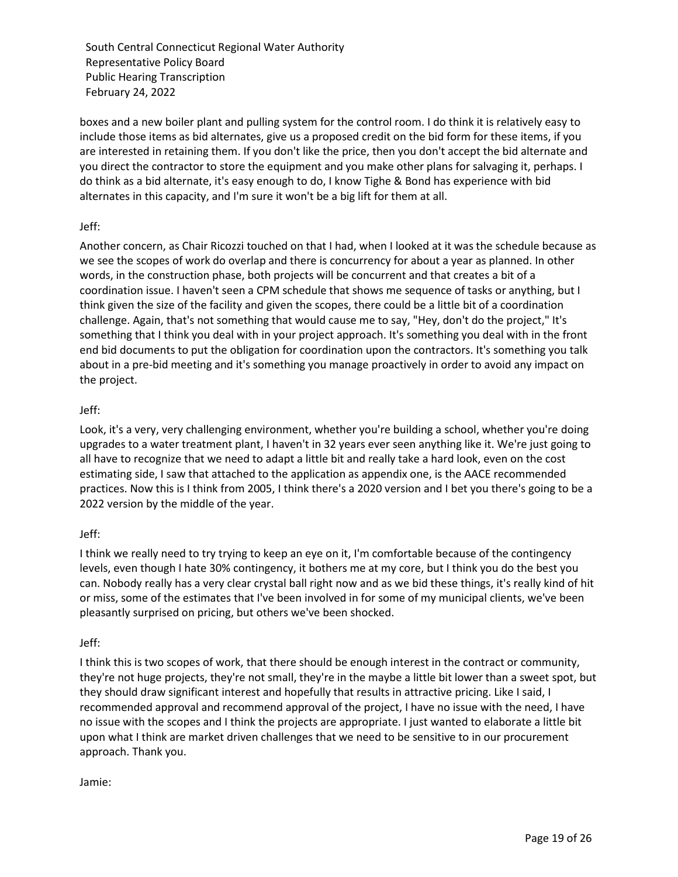boxes and a new boiler plant and pulling system for the control room. I do think it is relatively easy to include those items as bid alternates, give us a proposed credit on the bid form for these items, if you are interested in retaining them. If you don't like the price, then you don't accept the bid alternate and you direct the contractor to store the equipment and you make other plans for salvaging it, perhaps. I do think as a bid alternate, it's easy enough to do, I know Tighe & Bond has experience with bid alternates in this capacity, and I'm sure it won't be a big lift for them at all.

# Jeff:

Another concern, as Chair Ricozzi touched on that I had, when I looked at it was the schedule because as we see the scopes of work do overlap and there is concurrency for about a year as planned. In other words, in the construction phase, both projects will be concurrent and that creates a bit of a coordination issue. I haven't seen a CPM schedule that shows me sequence of tasks or anything, but I think given the size of the facility and given the scopes, there could be a little bit of a coordination challenge. Again, that's not something that would cause me to say, "Hey, don't do the project," It's something that I think you deal with in your project approach. It's something you deal with in the front end bid documents to put the obligation for coordination upon the contractors. It's something you talk about in a pre-bid meeting and it's something you manage proactively in order to avoid any impact on the project.

# Jeff:

Look, it's a very, very challenging environment, whether you're building a school, whether you're doing upgrades to a water treatment plant, I haven't in 32 years ever seen anything like it. We're just going to all have to recognize that we need to adapt a little bit and really take a hard look, even on the cost estimating side, I saw that attached to the application as appendix one, is the AACE recommended practices. Now this is I think from 2005, I think there's a 2020 version and I bet you there's going to be a 2022 version by the middle of the year.

## Jeff:

I think we really need to try trying to keep an eye on it, I'm comfortable because of the contingency levels, even though I hate 30% contingency, it bothers me at my core, but I think you do the best you can. Nobody really has a very clear crystal ball right now and as we bid these things, it's really kind of hit or miss, some of the estimates that I've been involved in for some of my municipal clients, we've been pleasantly surprised on pricing, but others we've been shocked.

## Jeff:

I think this is two scopes of work, that there should be enough interest in the contract or community, they're not huge projects, they're not small, they're in the maybe a little bit lower than a sweet spot, but they should draw significant interest and hopefully that results in attractive pricing. Like I said, I recommended approval and recommend approval of the project, I have no issue with the need, I have no issue with the scopes and I think the projects are appropriate. I just wanted to elaborate a little bit upon what I think are market driven challenges that we need to be sensitive to in our procurement approach. Thank you.

## Jamie: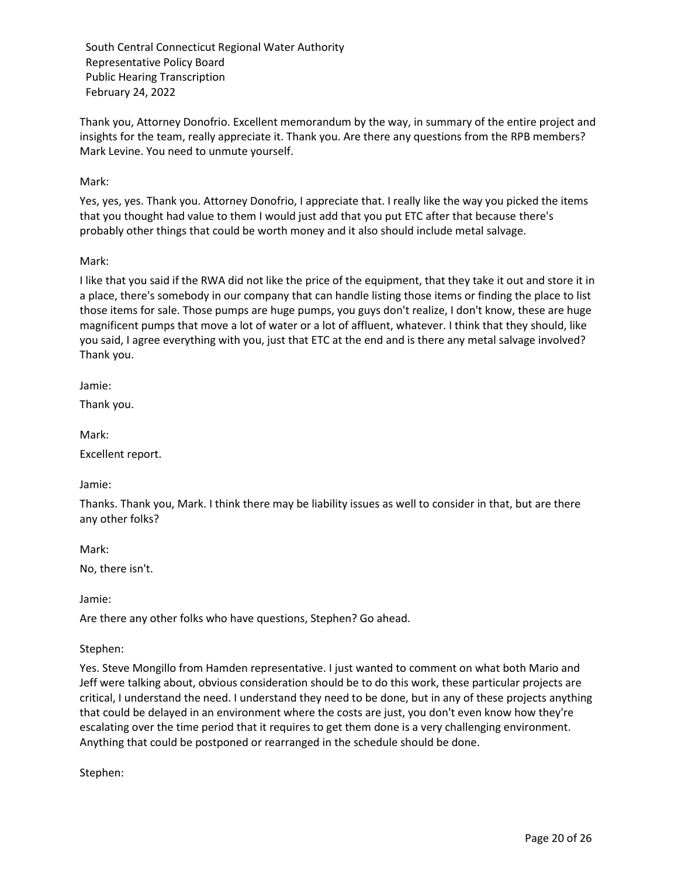Thank you, Attorney Donofrio. Excellent memorandum by the way, in summary of the entire project and insights for the team, really appreciate it. Thank you. Are there any questions from the RPB members? Mark Levine. You need to unmute yourself.

# Mark:

Yes, yes, yes. Thank you. Attorney Donofrio, I appreciate that. I really like the way you picked the items that you thought had value to them I would just add that you put ETC after that because there's probably other things that could be worth money and it also should include metal salvage.

## Mark:

I like that you said if the RWA did not like the price of the equipment, that they take it out and store it in a place, there's somebody in our company that can handle listing those items or finding the place to list those items for sale. Those pumps are huge pumps, you guys don't realize, I don't know, these are huge magnificent pumps that move a lot of water or a lot of affluent, whatever. I think that they should, like you said, I agree everything with you, just that ETC at the end and is there any metal salvage involved? Thank you.

Jamie:

Thank you.

Mark:

Excellent report.

Jamie:

Thanks. Thank you, Mark. I think there may be liability issues as well to consider in that, but are there any other folks?

Mark:

No, there isn't.

Jamie:

Are there any other folks who have questions, Stephen? Go ahead.

## Stephen:

Yes. Steve Mongillo from Hamden representative. I just wanted to comment on what both Mario and Jeff were talking about, obvious consideration should be to do this work, these particular projects are critical, I understand the need. I understand they need to be done, but in any of these projects anything that could be delayed in an environment where the costs are just, you don't even know how they're escalating over the time period that it requires to get them done is a very challenging environment. Anything that could be postponed or rearranged in the schedule should be done.

Stephen: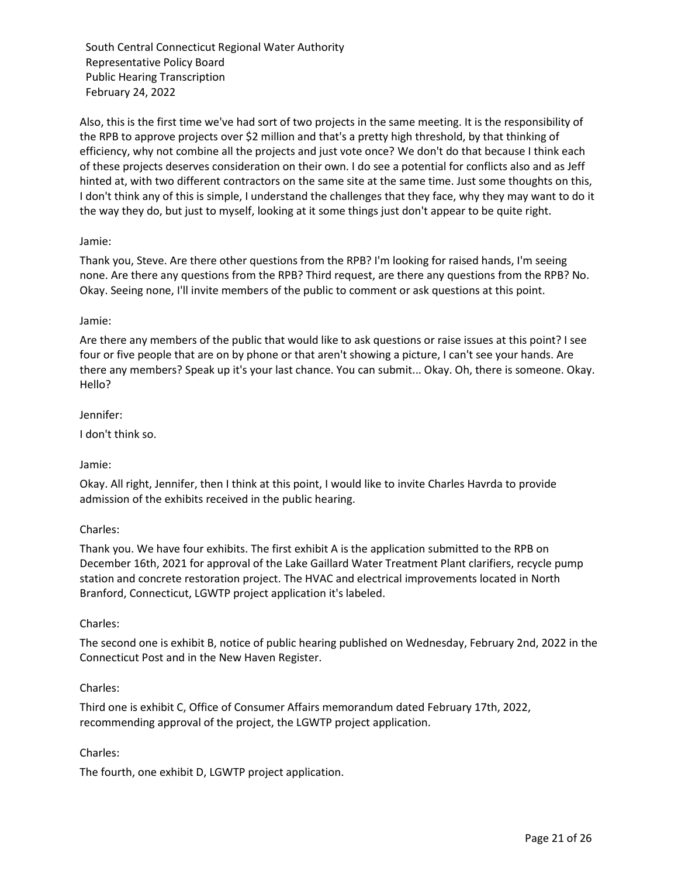Also, this is the first time we've had sort of two projects in the same meeting. It is the responsibility of the RPB to approve projects over \$2 million and that's a pretty high threshold, by that thinking of efficiency, why not combine all the projects and just vote once? We don't do that because I think each of these projects deserves consideration on their own. I do see a potential for conflicts also and as Jeff hinted at, with two different contractors on the same site at the same time. Just some thoughts on this, I don't think any of this is simple, I understand the challenges that they face, why they may want to do it the way they do, but just to myself, looking at it some things just don't appear to be quite right.

# Jamie:

Thank you, Steve. Are there other questions from the RPB? I'm looking for raised hands, I'm seeing none. Are there any questions from the RPB? Third request, are there any questions from the RPB? No. Okay. Seeing none, I'll invite members of the public to comment or ask questions at this point.

#### Jamie:

Are there any members of the public that would like to ask questions or raise issues at this point? I see four or five people that are on by phone or that aren't showing a picture, I can't see your hands. Are there any members? Speak up it's your last chance. You can submit... Okay. Oh, there is someone. Okay. Hello?

#### Jennifer:

I don't think so.

## Jamie:

Okay. All right, Jennifer, then I think at this point, I would like to invite Charles Havrda to provide admission of the exhibits received in the public hearing.

## Charles:

Thank you. We have four exhibits. The first exhibit A is the application submitted to the RPB on December 16th, 2021 for approval of the Lake Gaillard Water Treatment Plant clarifiers, recycle pump station and concrete restoration project. The HVAC and electrical improvements located in North Branford, Connecticut, LGWTP project application it's labeled.

## Charles:

The second one is exhibit B, notice of public hearing published on Wednesday, February 2nd, 2022 in the Connecticut Post and in the New Haven Register.

## Charles:

Third one is exhibit C, Office of Consumer Affairs memorandum dated February 17th, 2022, recommending approval of the project, the LGWTP project application.

## Charles:

The fourth, one exhibit D, LGWTP project application.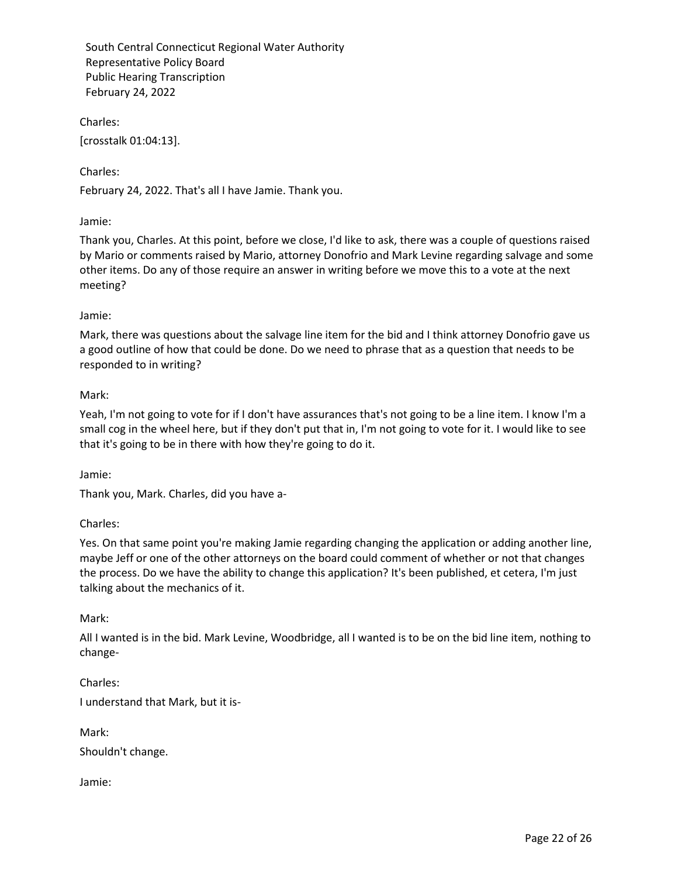Charles:

[crosstalk 01:04:13].

Charles:

February 24, 2022. That's all I have Jamie. Thank you.

# Jamie:

Thank you, Charles. At this point, before we close, I'd like to ask, there was a couple of questions raised by Mario or comments raised by Mario, attorney Donofrio and Mark Levine regarding salvage and some other items. Do any of those require an answer in writing before we move this to a vote at the next meeting?

## Jamie:

Mark, there was questions about the salvage line item for the bid and I think attorney Donofrio gave us a good outline of how that could be done. Do we need to phrase that as a question that needs to be responded to in writing?

## Mark:

Yeah, I'm not going to vote for if I don't have assurances that's not going to be a line item. I know I'm a small cog in the wheel here, but if they don't put that in, I'm not going to vote for it. I would like to see that it's going to be in there with how they're going to do it.

Jamie:

Thank you, Mark. Charles, did you have a-

# Charles:

Yes. On that same point you're making Jamie regarding changing the application or adding another line, maybe Jeff or one of the other attorneys on the board could comment of whether or not that changes the process. Do we have the ability to change this application? It's been published, et cetera, I'm just talking about the mechanics of it.

## Mark:

All I wanted is in the bid. Mark Levine, Woodbridge, all I wanted is to be on the bid line item, nothing to change-

Charles: I understand that Mark, but it is-

Mark:

Shouldn't change.

Jamie: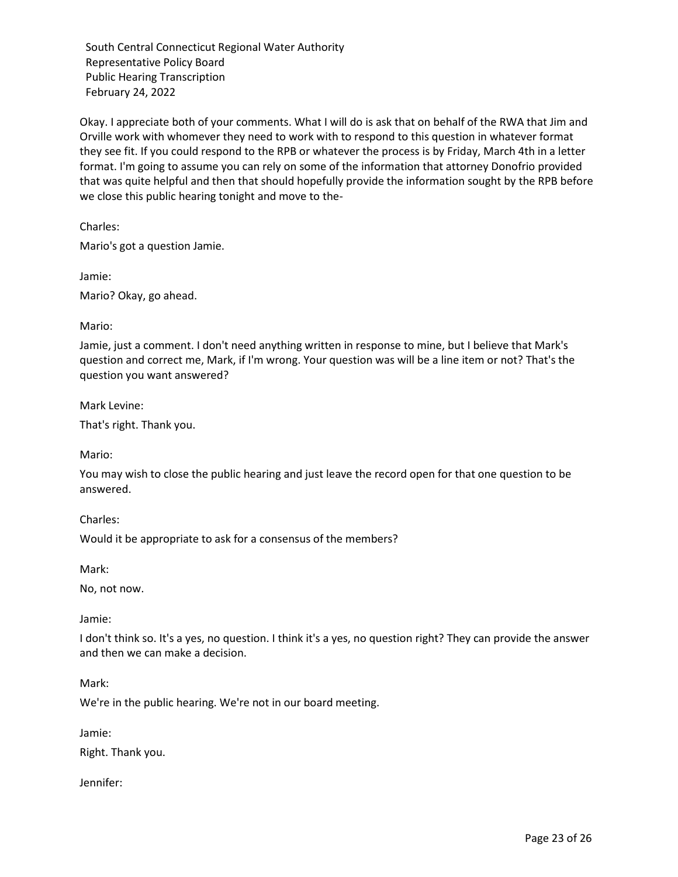Okay. I appreciate both of your comments. What I will do is ask that on behalf of the RWA that Jim and Orville work with whomever they need to work with to respond to this question in whatever format they see fit. If you could respond to the RPB or whatever the process is by Friday, March 4th in a letter format. I'm going to assume you can rely on some of the information that attorney Donofrio provided that was quite helpful and then that should hopefully provide the information sought by the RPB before we close this public hearing tonight and move to the-

Charles:

Mario's got a question Jamie.

Jamie:

Mario? Okay, go ahead.

## Mario:

Jamie, just a comment. I don't need anything written in response to mine, but I believe that Mark's question and correct me, Mark, if I'm wrong. Your question was will be a line item or not? That's the question you want answered?

Mark Levine:

That's right. Thank you.

Mario:

You may wish to close the public hearing and just leave the record open for that one question to be answered.

Charles:

Would it be appropriate to ask for a consensus of the members?

Mark:

No, not now.

Jamie:

I don't think so. It's a yes, no question. I think it's a yes, no question right? They can provide the answer and then we can make a decision.

Mark:

We're in the public hearing. We're not in our board meeting.

Jamie:

Right. Thank you.

Jennifer: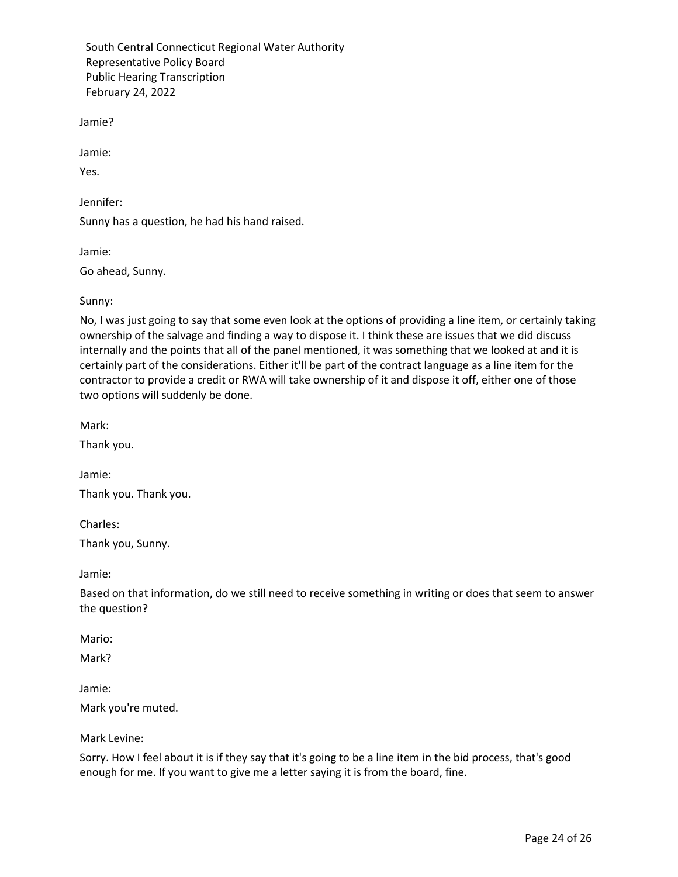Jamie?

Jamie:

Yes.

Jennifer:

Sunny has a question, he had his hand raised.

Jamie:

Go ahead, Sunny.

Sunny:

No, I was just going to say that some even look at the options of providing a line item, or certainly taking ownership of the salvage and finding a way to dispose it. I think these are issues that we did discuss internally and the points that all of the panel mentioned, it was something that we looked at and it is certainly part of the considerations. Either it'll be part of the contract language as a line item for the contractor to provide a credit or RWA will take ownership of it and dispose it off, either one of those two options will suddenly be done.

Mark:

Thank you.

Jamie:

Thank you. Thank you.

Charles:

Thank you, Sunny.

Jamie:

Based on that information, do we still need to receive something in writing or does that seem to answer the question?

Mario:

Mark?

Jamie:

Mark you're muted.

Mark Levine:

Sorry. How I feel about it is if they say that it's going to be a line item in the bid process, that's good enough for me. If you want to give me a letter saying it is from the board, fine.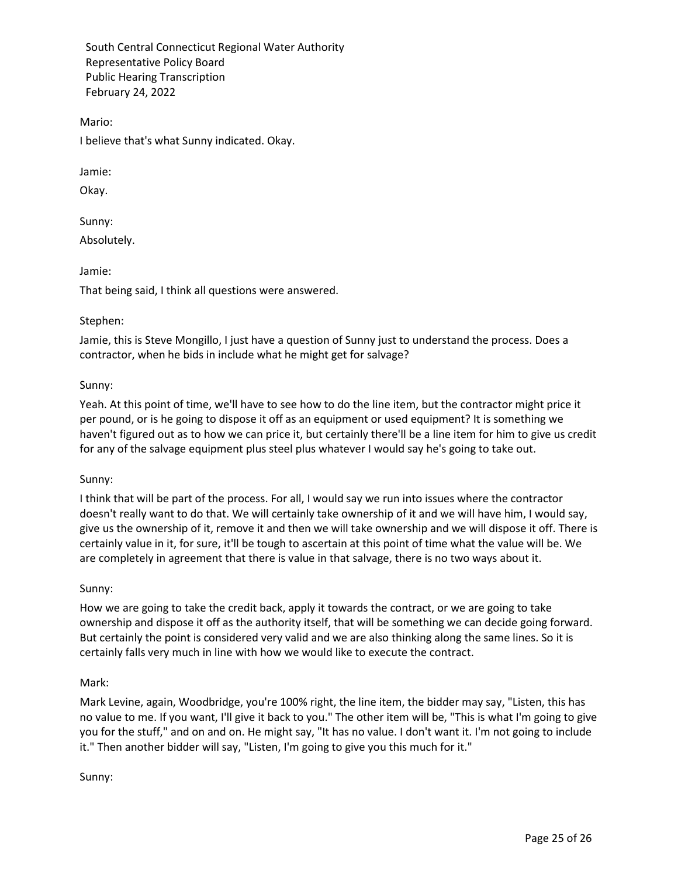Mario:

I believe that's what Sunny indicated. Okay.

Jamie:

Okay.

Sunny: Absolutely.

Jamie:

That being said, I think all questions were answered.

## Stephen:

Jamie, this is Steve Mongillo, I just have a question of Sunny just to understand the process. Does a contractor, when he bids in include what he might get for salvage?

## Sunny:

Yeah. At this point of time, we'll have to see how to do the line item, but the contractor might price it per pound, or is he going to dispose it off as an equipment or used equipment? It is something we haven't figured out as to how we can price it, but certainly there'll be a line item for him to give us credit for any of the salvage equipment plus steel plus whatever I would say he's going to take out.

## Sunny:

I think that will be part of the process. For all, I would say we run into issues where the contractor doesn't really want to do that. We will certainly take ownership of it and we will have him, I would say, give us the ownership of it, remove it and then we will take ownership and we will dispose it off. There is certainly value in it, for sure, it'll be tough to ascertain at this point of time what the value will be. We are completely in agreement that there is value in that salvage, there is no two ways about it.

## Sunny:

How we are going to take the credit back, apply it towards the contract, or we are going to take ownership and dispose it off as the authority itself, that will be something we can decide going forward. But certainly the point is considered very valid and we are also thinking along the same lines. So it is certainly falls very much in line with how we would like to execute the contract.

## Mark:

Mark Levine, again, Woodbridge, you're 100% right, the line item, the bidder may say, "Listen, this has no value to me. If you want, I'll give it back to you." The other item will be, "This is what I'm going to give you for the stuff," and on and on. He might say, "It has no value. I don't want it. I'm not going to include it." Then another bidder will say, "Listen, I'm going to give you this much for it."

Sunny: